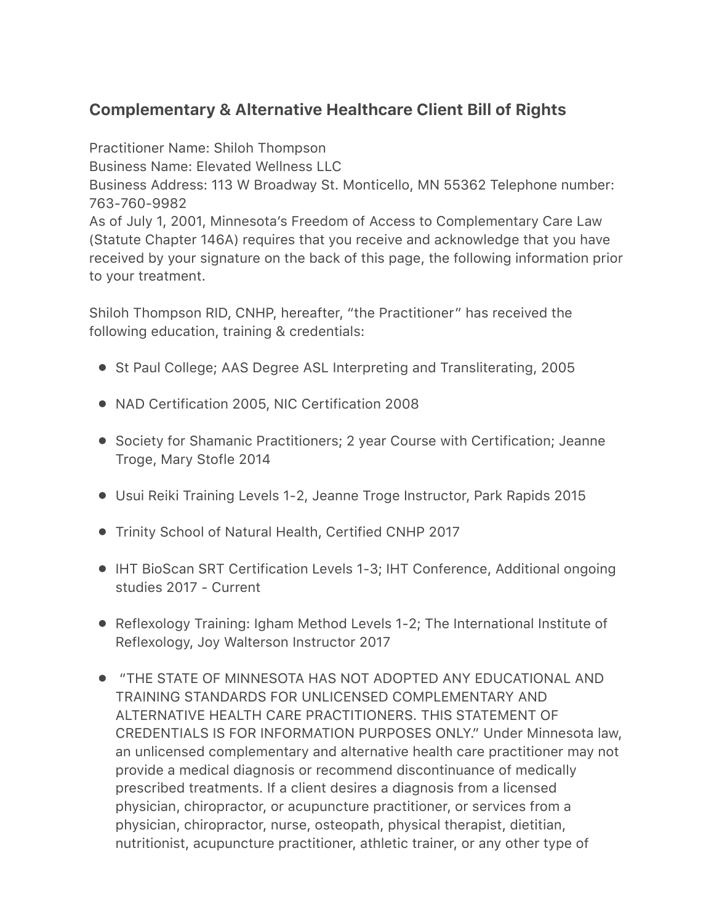## **Complementary & Alternative Healthcare Client Bill of Rights**

Practitioner Name: Shiloh Thompson Business Name: Elevated Wellness LLC Business Address: 113 W Broadway St. Monticello, MN 55362 Telephone number: 763-760-9982 As of July 1, 2001, Minnesota's Freedom of Access to Complementary Care Law (Statute Chapter 146A) requires that you receive and acknowledge that you have received by your signature on the back of this page, the following information prior to your treatment.

Shiloh Thompson RID, CNHP, hereafter, "the Practitioner" has received the following education, training & credentials:

- St Paul College; AAS Degree ASL Interpreting and Transliterating, 2005
- NAD Certification 2005, NIC Certification 2008
- Society for Shamanic Practitioners; 2 year Course with Certification; Jeanne Troge, Mary Stofle 2014
- Usui Reiki Training Levels 1-2, Jeanne Troge Instructor, Park Rapids 2015
- Trinity School of Natural Health, Certified CNHP 2017
- IHT BioScan SRT Certification Levels 1-3; IHT Conference, Additional ongoing studies 2017 - Current
- Reflexology Training: Igham Method Levels 1-2; The International Institute of Reflexology, Joy Walterson Instructor 2017
- "THE STATE OF MINNESOTA HAS NOT ADOPTED ANY EDUCATIONAL AND TRAINING STANDARDS FOR UNLICENSED COMPLEMENTARY AND ALTERNATIVE HEALTH CARE PRACTITIONERS. THIS STATEMENT OF CREDENTIALS IS FOR INFORMATION PURPOSES ONLY." Under Minnesota law, an unlicensed complementary and alternative health care practitioner may not provide a medical diagnosis or recommend discontinuance of medically prescribed treatments. If a client desires a diagnosis from a licensed physician, chiropractor, or acupuncture practitioner, or services from a physician, chiropractor, nurse, osteopath, physical therapist, dietitian, nutritionist, acupuncture practitioner, athletic trainer, or any other type of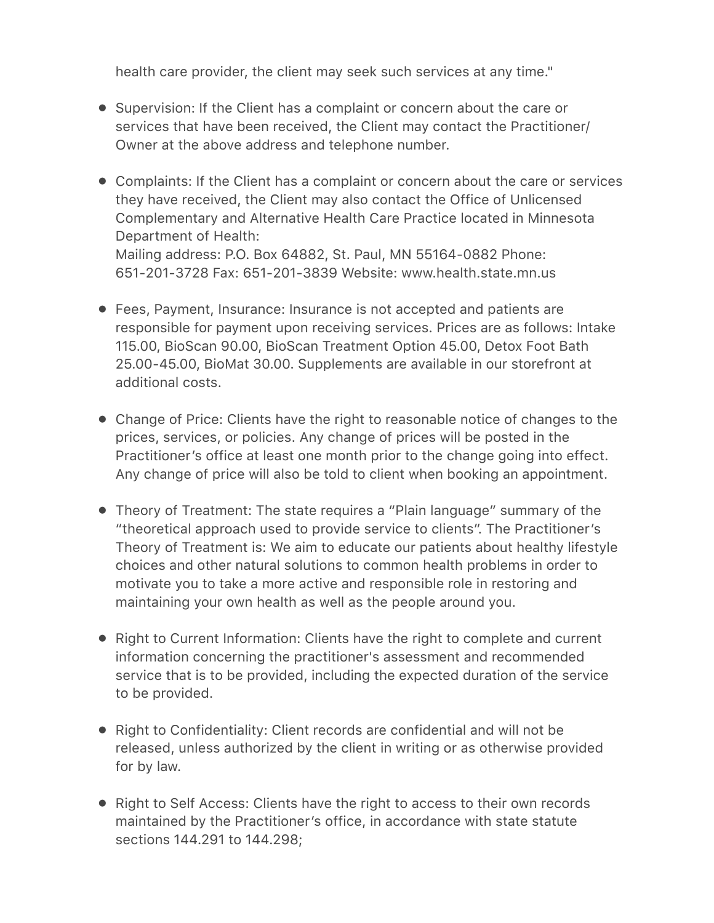health care provider, the client may seek such services at any time."

- Supervision: If the Client has a complaint or concern about the care or services that have been received, the Client may contact the Practitioner/ Owner at the above address and telephone number.
- Complaints: If the Client has a complaint or concern about the care or services they have received, the Client may also contact the Office of Unlicensed Complementary and Alternative Health Care Practice located in Minnesota Department of Health: Mailing address: P.O. Box 64882, St. Paul, MN 55164-0882 Phone: 651-201-3728 Fax: 651-201-3839 Website: www.health.state.mn.us
- Fees, Payment, Insurance: Insurance is not accepted and patients are responsible for payment upon receiving services. Prices are as follows: Intake 115.00, BioScan 90.00, BioScan Treatment Option 45.00, Detox Foot Bath 25.00-45.00, BioMat 30.00. Supplements are available in our storefront at additional costs.
- Change of Price: Clients have the right to reasonable notice of changes to the prices, services, or policies. Any change of prices will be posted in the Practitioner's office at least one month prior to the change going into effect. Any change of price will also be told to client when booking an appointment.
- Theory of Treatment: The state requires a "Plain language" summary of the "theoretical approach used to provide service to clients". The Practitioner's Theory of Treatment is: We aim to educate our patients about healthy lifestyle choices and other natural solutions to common health problems in order to motivate you to take a more active and responsible role in restoring and maintaining your own health as well as the people around you.
- Right to Current Information: Clients have the right to complete and current information concerning the practitioner's assessment and recommended service that is to be provided, including the expected duration of the service to be provided.
- Right to Confidentiality: Client records are confidential and will not be released, unless authorized by the client in writing or as otherwise provided for by law.
- Right to Self Access: Clients have the right to access to their own records maintained by the Practitioner's office, in accordance with state statute sections 144.291 to 144.298;